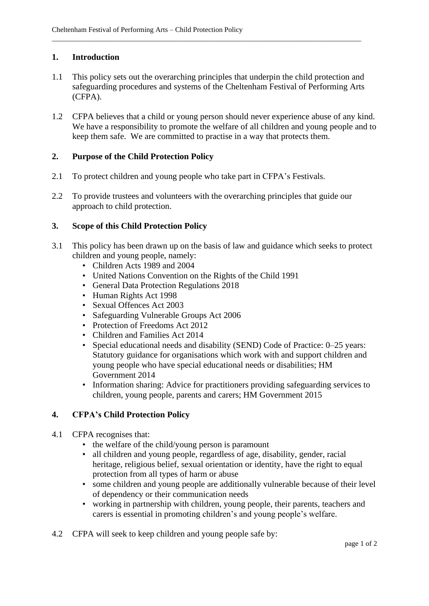## **1. Introduction**

1.1 This policy sets out the overarching principles that underpin the child protection and safeguarding procedures and systems of the Cheltenham Festival of Performing Arts (CFPA).

\_\_\_\_\_\_\_\_\_\_\_\_\_\_\_\_\_\_\_\_\_\_\_\_\_\_\_\_\_\_\_\_\_\_\_\_\_\_\_\_\_\_\_\_\_\_\_\_\_\_\_\_\_\_\_\_\_\_\_\_\_\_\_\_\_\_\_\_\_\_\_\_\_\_\_\_\_\_\_\_\_\_\_\_\_\_

1.2 CFPA believes that a child or young person should never experience abuse of any kind. We have a responsibility to promote the welfare of all children and young people and to keep them safe. We are committed to practise in a way that protects them.

## **2. Purpose of the Child Protection Policy**

- 2.1 To protect children and young people who take part in CFPA's Festivals.
- 2.2 To provide trustees and volunteers with the overarching principles that guide our approach to child protection.

### **3. Scope of this Child Protection Policy**

- 3.1 This policy has been drawn up on the basis of law and guidance which seeks to protect children and young people, namely:
	- Children Acts 1989 and 2004
	- United Nations Convention on the Rights of the Child 1991
	- General Data Protection Regulations 2018
	- Human Rights Act 1998
	- Sexual Offences Act 2003
	- Safeguarding Vulnerable Groups Act 2006
	- Protection of Freedoms Act 2012
	- Children and Families Act 2014
	- Special educational needs and disability (SEND) Code of Practice: 0–25 years: Statutory guidance for organisations which work with and support children and young people who have special educational needs or disabilities; HM Government 2014
	- Information sharing: Advice for practitioners providing safeguarding services to children, young people, parents and carers; HM Government 2015

# **4. CFPA's Child Protection Policy**

- 4.1 CFPA recognises that:
	- the welfare of the child/young person is paramount
	- all children and young people, regardless of age, disability, gender, racial heritage, religious belief, sexual orientation or identity, have the right to equal protection from all types of harm or abuse
	- some children and young people are additionally vulnerable because of their level of dependency or their communication needs
	- working in partnership with children, young people, their parents, teachers and carers is essential in promoting children's and young people's welfare.
- 4.2 CFPA will seek to keep children and young people safe by: